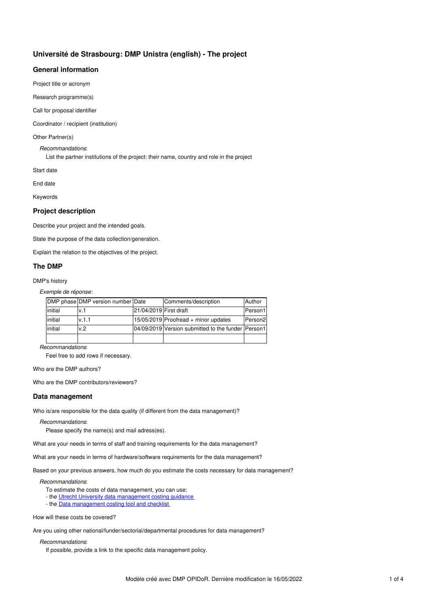# **Université de Strasbourg: DMP Unistra (english) - The project**

## **General information**

Project title or acronym

Research programme(s)

Call for proposal identifier

Coordinator / recipient (institution)

Other Partner(s)

*Recommandations*:

List the partner institutions of the project: their name, country and role in the project

Start date

End date

Keywords

## **Project description**

Describe your project and the intended goals.

State the purpose of the data collection/generation.

Explain the relation to the objectives of the project.

## **The DMP**

DMP's history

*Exemple de réponse*:

|         | DMP phase DMP version number Date |                        | Comments/description                               | Author              |
|---------|-----------------------------------|------------------------|----------------------------------------------------|---------------------|
| initial | v.1                               | 21/04/2019 First draft |                                                    | Person1             |
| initial | v.1.1                             |                        | 15/05/2019 Proofread + minor updates               | Person <sub>2</sub> |
| initial | v.2                               |                        | 04/09/2019 Version submitted to the funder Person1 |                     |
|         |                                   |                        |                                                    |                     |

*Recommandations*:

Feel free to add rows if necessary.

Who are the DMP authors?

Who are the DMP contributors/reviewers?

## **Data management**

Who is/are responsible for the data quality (if different from the data management)?

### *Recommandations*:

Please specify the name(s) and mail adress(es).

What are your needs in terms of staff and training requirements for the data management?

What are your needs in terms of hardware/software requirements for the data management?

Based on your previous answers, how much do you estimate the costs necessary for data management?

*Recommandations*:

To estimate the costs of data management, you can use:

- the Utrecht University data [management](https://www.uu.nl/en/research/research-data-management/guides/costs-of-data-management#funding) costing guidance
- the Data [management](http://www.data-archive.ac.uk/media/247429/costingtool.pdf) costing tool and checklist

How will these costs be covered?

Are you using other national/funder/sectorial/departmental procedures for data management?

## *Recommandations*:

If possible, provide a link to the specific data management policy.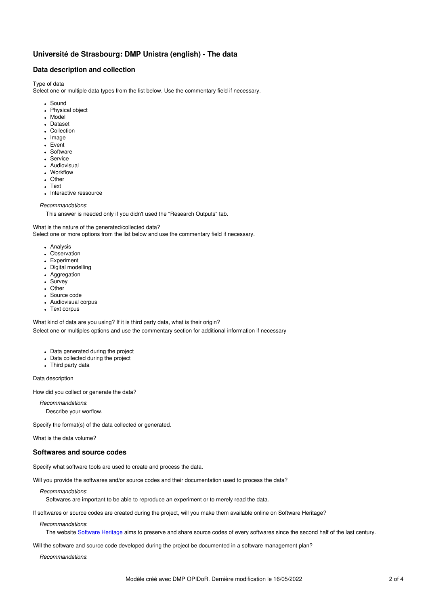# **Université de Strasbourg: DMP Unistra (english) - The data**

## **Data description and collection**

Type of data

Select one or multiple data types from the list below. Use the commentary field if necessary.

- Sound
- Physical object
- Model
- **Dataset**
- Collection
- Image
- Event
- Software
- Service
- Audiovisual
- Workflow
- Other
- Text
- Interactive ressource

#### *Recommandations*:

This answer is needed only if you didn't used the "Research Outputs" tab.

What is the nature of the generated/collected data?

Select one or more options from the list below and use the commentary field if necessary.

- Analysis
- Observation
- Experiment
- Digital modelling
- Aggregation
- Survey
- Other
- Source code
- Audiovisual corpus
- Text corpus

What kind of data are you using? If it is third party data, what is their origin?

Select one or multiples options and use the commentary section for additional information if necessary

- Data generated during the project
- Data collected during the project
- Third party data

Data description

How did you collect or generate the data?

*Recommandations*: Describe your worflow.

Specify the format(s) of the data collected or generated.

What is the data volume?

## **Softwares and source codes**

Specify what software tools are used to create and process the data.

Will you provide the softwares and/or source codes and their documentation used to process the data?

*Recommandations*:

Softwares are important to be able to reproduce an experiment or to merely read the data.

If softwares or source codes are created during the project, will you make them available online on Software Heritage?

*Recommandations*:

The website [Software](https://www.softwareheritage.org/) Heritage aims to preserve and share source codes of every softwares since the second half of the last century.

Will the software and source code developed during the project be documented in a software management plan?

*Recommandations*: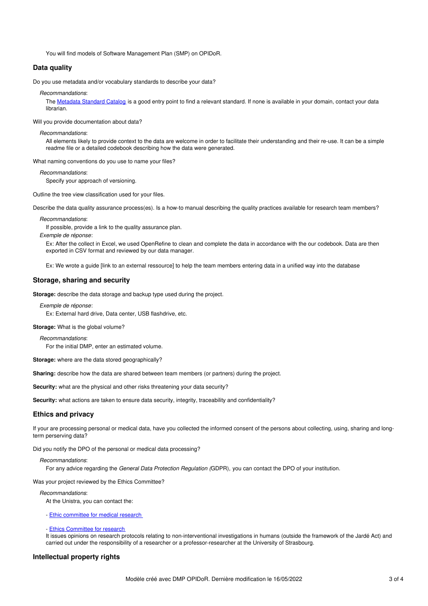You will find models of Software Management Plan (SMP) on OPIDoR.

## **Data quality**

Do you use metadata and/or vocabulary standards to describe your data?

*Recommandations*:

The [Metadata](https://rdamsc.dcc.ac.uk/) Standard Catalog is a good entry point to find a relevant standard. If none is available in your domain, contact your data librarian.

Will you provide documentation about data?

*Recommandations*:

All elements likely to provide context to the data are welcome in order to facilitate their understanding and their re-use. It can be a simple readme file or a detailed codebook describing how the data were generated.

What naming conventions do you use to name your files?

*Recommandations*:

Specify your approach of versioning.

Outline the tree view classification used for your files.

Describe the data quality assurance process(es). Is a how-to manual describing the quality practices available for research team members?

*Recommandations*:

If possible, provide a link to the quality assurance plan.

*Exemple de réponse*:

Ex: After the collect in Excel, we used OpenRefine to clean and complete the data in accordance with the our codebook. Data are then exported in CSV format and reviewed by our data manager.

Ex: We wrote a guide [link to an external ressource] to help the team members entering data in a unified way into the database

## **Storage, sharing and security**

**Storage:** describe the data storage and backup type used during the project.

*Exemple de réponse*: Ex: External hard drive, Data center, USB flashdrive, etc.

**Storage:** What is the global volume?

*Recommandations*: For the initial DMP, enter an estimated volume.

**Storage:** where are the data stored geographically?

**Sharing:** describe how the data are shared between team members (or partners) during the project.

**Security:** what are the physical and other risks threatening your data security?

Security: what actions are taken to ensure data security, integrity, traceability and confidentiality?

## **Ethics and privacy**

If your are processing personal or medical data, have you collected the informed consent of the persons about collecting, using, sharing and longterm perserving data?

Did you notify the DPO of the personal or medical data processing?

#### *Recommandations*:

For any advice regarding the *General Data Protection Regulation (*GDPR)*,* you can contact the DPO of your institution.

Was your project reviewed by the Ethics Committee?

*Recommandations*:

At the Unistra, you can contact the:

- Ethic [committee](http://udsmed.u-strasbg.fr/dmg/recherche-2/ethique-et-procedures-reglementaires/) for medical research

- Ethics [Committee](https://www.unistra.fr/index.php?id=ethique-recherche) for research

It issues opinions on research protocols relating to non-interventional investigations in humans (outside the framework of the Jardé Act) and carried out under the responsibility of a researcher or a professor-researcher at the University of Strasbourg.

### **Intellectual property rights**